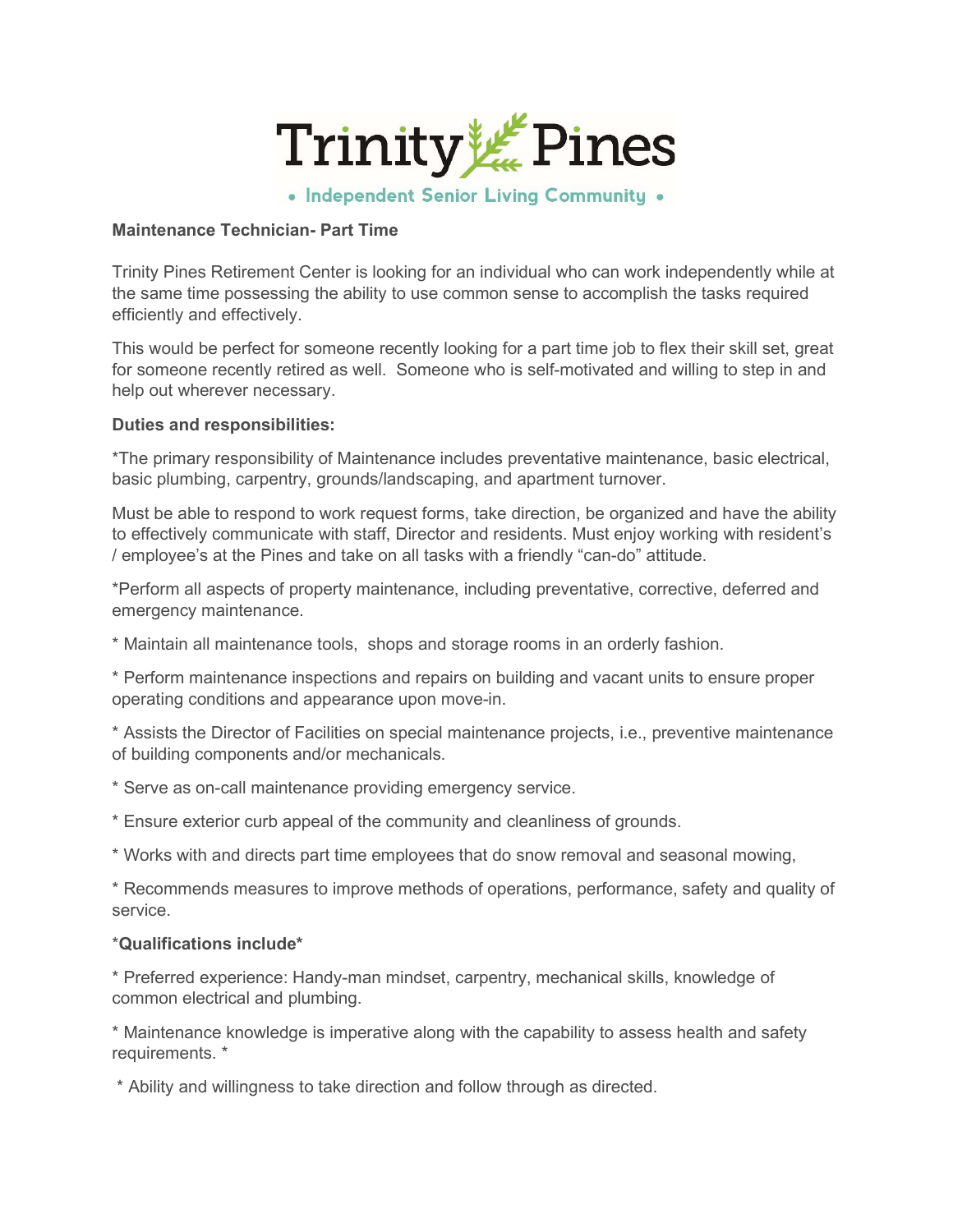

• Independent Senior Living Community .

### Maintenance Technician- Part Time

Trinity Pines Retirement Center is looking for an individual who can work independently while at the same time possessing the ability to use common sense to accomplish the tasks required efficiently and effectively.

This would be perfect for someone recently looking for a part time job to flex their skill set, great for someone recently retired as well. Someone who is self-motivated and willing to step in and help out wherever necessary.

### Duties and responsibilities:

\*The primary responsibility of Maintenance includes preventative maintenance, basic electrical, basic plumbing, carpentry, grounds/landscaping, and apartment turnover.

Must be able to respond to work request forms, take direction, be organized and have the ability to effectively communicate with staff, Director and residents. Must enjoy working with resident's / employee's at the Pines and take on all tasks with a friendly "can-do" attitude.

\*Perform all aspects of property maintenance, including preventative, corrective, deferred and emergency maintenance.

\* Maintain all maintenance tools, shops and storage rooms in an orderly fashion.

\* Perform maintenance inspections and repairs on building and vacant units to ensure proper operating conditions and appearance upon move-in.

\* Assists the Director of Facilities on special maintenance projects, i.e., preventive maintenance of building components and/or mechanicals.

- \* Serve as on-call maintenance providing emergency service.
- \* Ensure exterior curb appeal of the community and cleanliness of grounds.

\* Works with and directs part time employees that do snow removal and seasonal mowing,

\* Recommends measures to improve methods of operations, performance, safety and quality of service.

#### \*Qualifications include\*

\* Preferred experience: Handy-man mindset, carpentry, mechanical skills, knowledge of common electrical and plumbing.

\* Maintenance knowledge is imperative along with the capability to assess health and safety requirements. \*

\* Ability and willingness to take direction and follow through as directed.